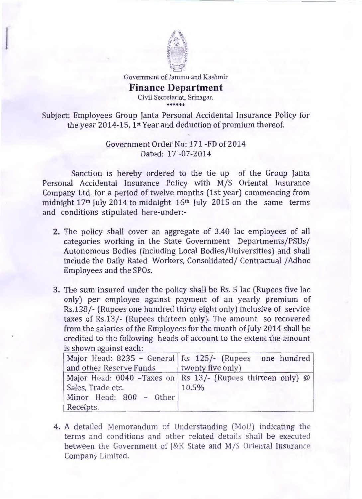

Government of Jammu and Kashmir

## **Finance Department**  Civil Secretariat, Srinagar.

\*\*\*\*\*\*

Subject: Employees Group Janta Personal Accidental Insurance Policy for the year 2014-15, 1st Year and deduction of premium thereof.

> Government Order No: 171 -FD of 2014 Dated: 17 -07-2014

Sanction is hereby ordered to the tie up of the Group Janta Personal Accidental Insurance Policy with M/S Oriental Insurance Company Ltd. for a period of twelve months (1st year) commencing from midnight  $17<sup>th</sup>$  July 2014 to midnight  $16<sup>th</sup>$  July 2015 on the same terms and conditions stipulated here-under:-

- 2. The policy shall cover an aggregate of 3.40 lac employees of all categories working in the State Government Departments/PSUs/ Autonomous Bodies (including Local Bodies/Universities) and shall include the Daily Rated Workers, Consolidated/ Contractual / Adhoc Employees and the SPOs.
- 3. The sum insured under the policy shall be Rs. 5 lac (Rupees five lac only) per employee against payment of an yearly premium of Rs.138/- (Rupees one hundred thirty eight only) inclusive of service taxes of Rs.13/- (Rupees thirteen only). The amount so recovered from the salaries of the Employees for the month of July 2014 shall be credited to the following heads of account to the extent the amount is shown against each:

|                         | Major Head: 8235 - General Rs 125/- (Rupees one hundred      |
|-------------------------|--------------------------------------------------------------|
| and other Reserve Funds | twenty five only)                                            |
|                         | Major Head: 0040 - Taxes on Rs 13/- (Rupees thirteen only) @ |
| Sales, Trade etc.       | 10.5%                                                        |
| Minor Head: 800 - Other |                                                              |
| Receipts.               |                                                              |

4. A detailed Memorandum of Understanding (MoU) indicating the terms and conditions and other related details shall be executed between the Government of J&K State and M/S Oriental Insurance Company Limited.